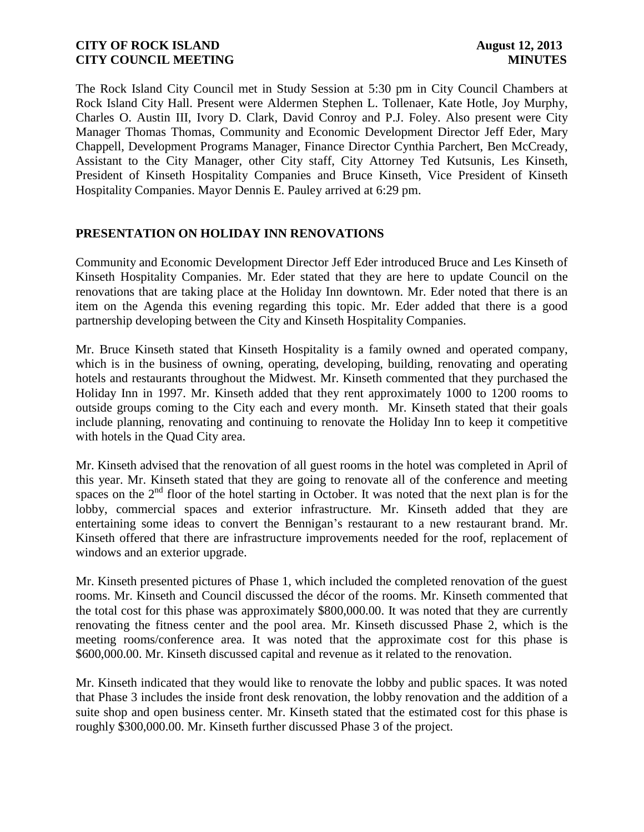The Rock Island City Council met in Study Session at 5:30 pm in City Council Chambers at Rock Island City Hall. Present were Aldermen Stephen L. Tollenaer, Kate Hotle, Joy Murphy, Charles O. Austin III, Ivory D. Clark, David Conroy and P.J. Foley. Also present were City Manager Thomas Thomas, Community and Economic Development Director Jeff Eder, Mary Chappell, Development Programs Manager, Finance Director Cynthia Parchert, Ben McCready, Assistant to the City Manager, other City staff, City Attorney Ted Kutsunis, Les Kinseth, President of Kinseth Hospitality Companies and Bruce Kinseth, Vice President of Kinseth Hospitality Companies. Mayor Dennis E. Pauley arrived at 6:29 pm.

# **PRESENTATION ON HOLIDAY INN RENOVATIONS**

Community and Economic Development Director Jeff Eder introduced Bruce and Les Kinseth of Kinseth Hospitality Companies. Mr. Eder stated that they are here to update Council on the renovations that are taking place at the Holiday Inn downtown. Mr. Eder noted that there is an item on the Agenda this evening regarding this topic. Mr. Eder added that there is a good partnership developing between the City and Kinseth Hospitality Companies.

Mr. Bruce Kinseth stated that Kinseth Hospitality is a family owned and operated company, which is in the business of owning, operating, developing, building, renovating and operating hotels and restaurants throughout the Midwest. Mr. Kinseth commented that they purchased the Holiday Inn in 1997. Mr. Kinseth added that they rent approximately 1000 to 1200 rooms to outside groups coming to the City each and every month. Mr. Kinseth stated that their goals include planning, renovating and continuing to renovate the Holiday Inn to keep it competitive with hotels in the Quad City area.

Mr. Kinseth advised that the renovation of all guest rooms in the hotel was completed in April of this year. Mr. Kinseth stated that they are going to renovate all of the conference and meeting spaces on the  $2<sup>nd</sup>$  floor of the hotel starting in October. It was noted that the next plan is for the lobby, commercial spaces and exterior infrastructure. Mr. Kinseth added that they are entertaining some ideas to convert the Bennigan's restaurant to a new restaurant brand. Mr. Kinseth offered that there are infrastructure improvements needed for the roof, replacement of windows and an exterior upgrade.

Mr. Kinseth presented pictures of Phase 1, which included the completed renovation of the guest rooms. Mr. Kinseth and Council discussed the décor of the rooms. Mr. Kinseth commented that the total cost for this phase was approximately \$800,000.00. It was noted that they are currently renovating the fitness center and the pool area. Mr. Kinseth discussed Phase 2, which is the meeting rooms/conference area. It was noted that the approximate cost for this phase is \$600,000.00. Mr. Kinseth discussed capital and revenue as it related to the renovation.

Mr. Kinseth indicated that they would like to renovate the lobby and public spaces. It was noted that Phase 3 includes the inside front desk renovation, the lobby renovation and the addition of a suite shop and open business center. Mr. Kinseth stated that the estimated cost for this phase is roughly \$300,000.00. Mr. Kinseth further discussed Phase 3 of the project.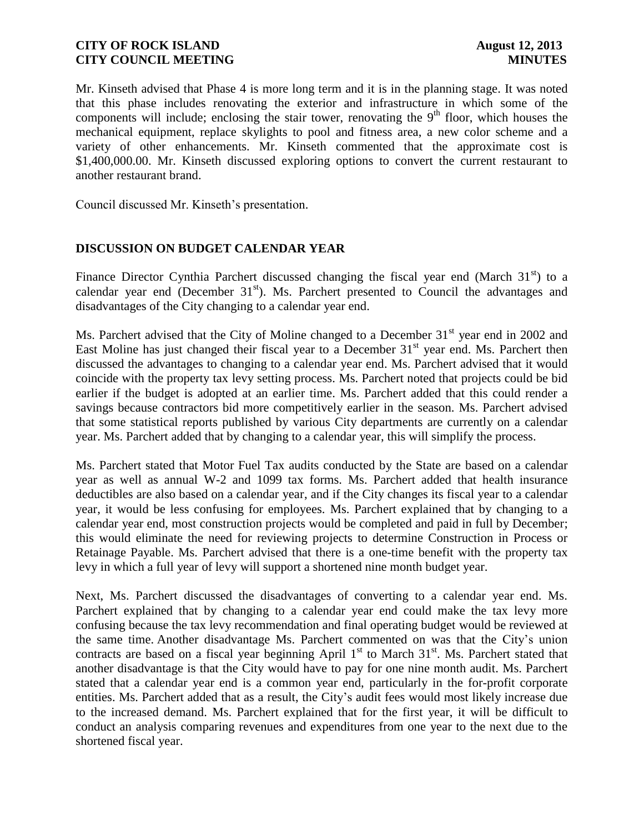Mr. Kinseth advised that Phase 4 is more long term and it is in the planning stage. It was noted that this phase includes renovating the exterior and infrastructure in which some of the components will include; enclosing the stair tower, renovating the  $9<sup>th</sup>$  floor, which houses the mechanical equipment, replace skylights to pool and fitness area, a new color scheme and a variety of other enhancements. Mr. Kinseth commented that the approximate cost is \$1,400,000.00. Mr. Kinseth discussed exploring options to convert the current restaurant to another restaurant brand.

Council discussed Mr. Kinseth's presentation.

### **DISCUSSION ON BUDGET CALENDAR YEAR**

Finance Director Cynthia Parchert discussed changing the fiscal year end (March  $31<sup>st</sup>$ ) to a calendar year end (December  $31<sup>st</sup>$ ). Ms. Parchert presented to Council the advantages and disadvantages of the City changing to a calendar year end.

Ms. Parchert advised that the City of Moline changed to a December  $31<sup>st</sup>$  year end in 2002 and East Moline has just changed their fiscal year to a December  $31<sup>st</sup>$  year end. Ms. Parchert then discussed the advantages to changing to a calendar year end. Ms. Parchert advised that it would coincide with the property tax levy setting process. Ms. Parchert noted that projects could be bid earlier if the budget is adopted at an earlier time. Ms. Parchert added that this could render a savings because contractors bid more competitively earlier in the season. Ms. Parchert advised that some statistical reports published by various City departments are currently on a calendar year. Ms. Parchert added that by changing to a calendar year, this will simplify the process.

Ms. Parchert stated that Motor Fuel Tax audits conducted by the State are based on a calendar year as well as annual W-2 and 1099 tax forms. Ms. Parchert added that health insurance deductibles are also based on a calendar year, and if the City changes its fiscal year to a calendar year, it would be less confusing for employees. Ms. Parchert explained that by changing to a calendar year end, most construction projects would be completed and paid in full by December; this would eliminate the need for reviewing projects to determine Construction in Process or Retainage Payable. Ms. Parchert advised that there is a one-time benefit with the property tax levy in which a full year of levy will support a shortened nine month budget year.

Next, Ms. Parchert discussed the disadvantages of converting to a calendar year end. Ms. Parchert explained that by changing to a calendar year end could make the tax levy more confusing because the tax levy recommendation and final operating budget would be reviewed at the same time. Another disadvantage Ms. Parchert commented on was that the City's union contracts are based on a fiscal year beginning April  $1<sup>st</sup>$  to March  $31<sup>st</sup>$ . Ms. Parchert stated that another disadvantage is that the City would have to pay for one nine month audit. Ms. Parchert stated that a calendar year end is a common year end, particularly in the for-profit corporate entities. Ms. Parchert added that as a result, the City's audit fees would most likely increase due to the increased demand. Ms. Parchert explained that for the first year, it will be difficult to conduct an analysis comparing revenues and expenditures from one year to the next due to the shortened fiscal year.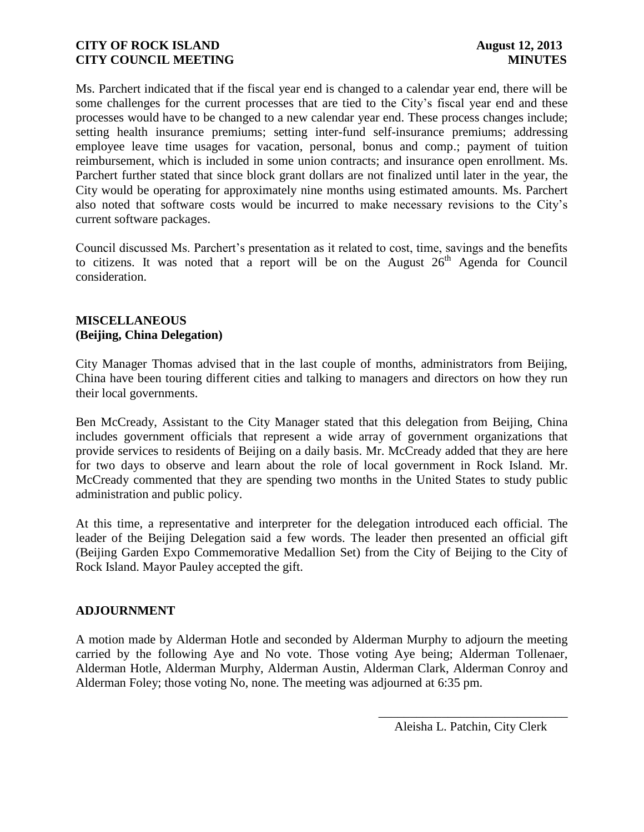Ms. Parchert indicated that if the fiscal year end is changed to a calendar year end, there will be some challenges for the current processes that are tied to the City's fiscal year end and these processes would have to be changed to a new calendar year end. These process changes include; setting health insurance premiums; setting inter-fund self-insurance premiums; addressing employee leave time usages for vacation, personal, bonus and comp.; payment of tuition reimbursement, which is included in some union contracts; and insurance open enrollment. Ms. Parchert further stated that since block grant dollars are not finalized until later in the year, the City would be operating for approximately nine months using estimated amounts. Ms. Parchert also noted that software costs would be incurred to make necessary revisions to the City's current software packages.

Council discussed Ms. Parchert's presentation as it related to cost, time, savings and the benefits to citizens. It was noted that a report will be on the August  $26<sup>th</sup>$  Agenda for Council consideration.

### **MISCELLANEOUS (Beijing, China Delegation)**

City Manager Thomas advised that in the last couple of months, administrators from Beijing, China have been touring different cities and talking to managers and directors on how they run their local governments.

Ben McCready, Assistant to the City Manager stated that this delegation from Beijing, China includes government officials that represent a wide array of government organizations that provide services to residents of Beijing on a daily basis. Mr. McCready added that they are here for two days to observe and learn about the role of local government in Rock Island. Mr. McCready commented that they are spending two months in the United States to study public administration and public policy.

At this time, a representative and interpreter for the delegation introduced each official. The leader of the Beijing Delegation said a few words. The leader then presented an official gift (Beijing Garden Expo Commemorative Medallion Set) from the City of Beijing to the City of Rock Island. Mayor Pauley accepted the gift.

### **ADJOURNMENT**

A motion made by Alderman Hotle and seconded by Alderman Murphy to adjourn the meeting carried by the following Aye and No vote. Those voting Aye being; Alderman Tollenaer, Alderman Hotle, Alderman Murphy, Alderman Austin, Alderman Clark, Alderman Conroy and Alderman Foley; those voting No, none. The meeting was adjourned at 6:35 pm.

> \_\_\_\_\_\_\_\_\_\_\_\_\_\_\_\_\_\_\_\_\_\_\_\_\_\_\_\_\_\_ Aleisha L. Patchin, City Clerk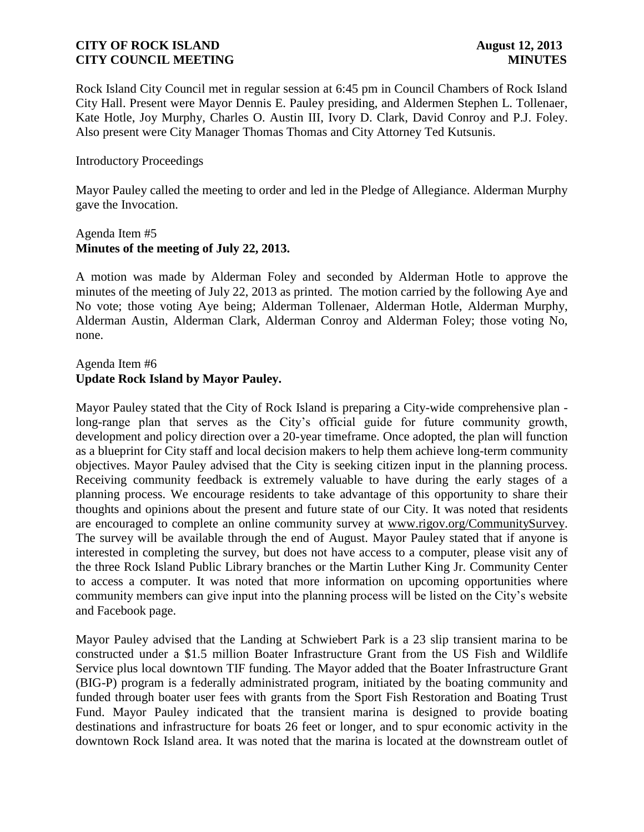Rock Island City Council met in regular session at 6:45 pm in Council Chambers of Rock Island City Hall. Present were Mayor Dennis E. Pauley presiding, and Aldermen Stephen L. Tollenaer, Kate Hotle, Joy Murphy, Charles O. Austin III, Ivory D. Clark, David Conroy and P.J. Foley. Also present were City Manager Thomas Thomas and City Attorney Ted Kutsunis.

### Introductory Proceedings

Mayor Pauley called the meeting to order and led in the Pledge of Allegiance. Alderman Murphy gave the Invocation.

### Agenda Item #5 **Minutes of the meeting of July 22, 2013.**

A motion was made by Alderman Foley and seconded by Alderman Hotle to approve the minutes of the meeting of July 22, 2013 as printed. The motion carried by the following Aye and No vote; those voting Aye being; Alderman Tollenaer, Alderman Hotle, Alderman Murphy, Alderman Austin, Alderman Clark, Alderman Conroy and Alderman Foley; those voting No, none.

### Agenda Item #6 **Update Rock Island by Mayor Pauley.**

Mayor Pauley stated that the City of Rock Island is preparing a City-wide comprehensive plan long-range plan that serves as the City's official guide for future community growth, development and policy direction over a 20-year timeframe. Once adopted, the plan will function as a blueprint for City staff and local decision makers to help them achieve long-term community objectives. Mayor Pauley advised that the City is seeking citizen input in the planning process. Receiving community feedback is extremely valuable to have during the early stages of a planning process. We encourage residents to take advantage of this opportunity to share their thoughts and opinions about the present and future state of our City. It was noted that residents are encouraged to complete an online community survey at [www.rigov.org/CommunitySurvey.](http://www.rigov.org/CommunitySurvey) The survey will be available through the end of August. Mayor Pauley stated that if anyone is interested in completing the survey, but does not have access to a computer, please visit any of the three Rock Island Public Library branches or the Martin Luther King Jr. Community Center to access a computer. It was noted that more information on upcoming opportunities where community members can give input into the planning process will be listed on the City's website and Facebook page.

Mayor Pauley advised that the Landing at Schwiebert Park is a 23 slip transient marina to be constructed under a \$1.5 million Boater Infrastructure Grant from the US Fish and Wildlife Service plus local downtown TIF funding. The Mayor added that the Boater Infrastructure Grant (BIG-P) program is a federally administrated program, initiated by the boating community and funded through boater user fees with grants from the Sport Fish Restoration and Boating Trust Fund. Mayor Pauley indicated that the transient marina is designed to provide boating destinations and infrastructure for boats 26 feet or longer, and to spur economic activity in the downtown Rock Island area. It was noted that the marina is located at the downstream outlet of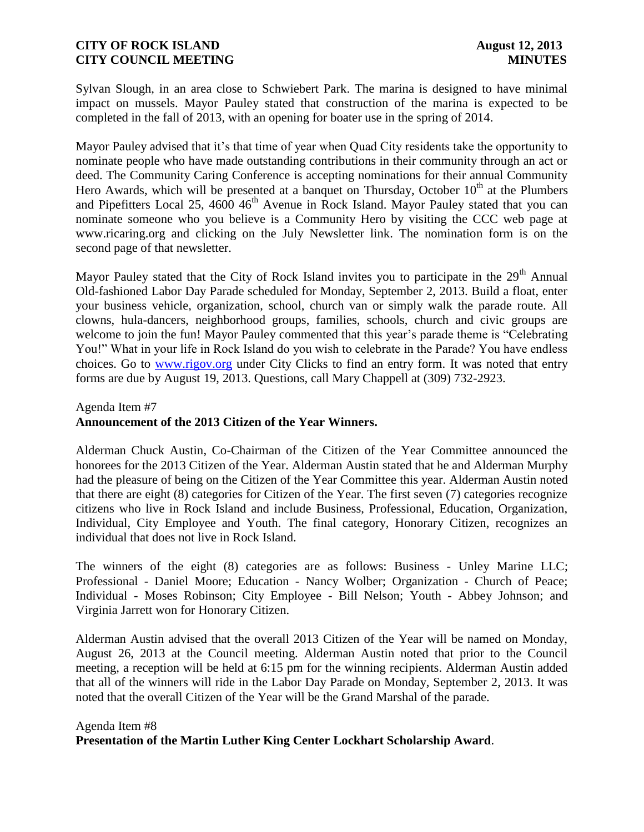Sylvan Slough, in an area close to Schwiebert Park. The marina is designed to have minimal impact on mussels. Mayor Pauley stated that construction of the marina is expected to be completed in the fall of 2013, with an opening for boater use in the spring of 2014.

Mayor Pauley advised that it's that time of year when Quad City residents take the opportunity to nominate people who have made outstanding contributions in their community through an act or deed. The Community Caring Conference is accepting nominations for their annual Community Hero Awards, which will be presented at a banquet on Thursday, October  $10<sup>th</sup>$  at the Plumbers and Pipefitters Local 25, 4600  $46<sup>th</sup>$  Avenue in Rock Island. Mayor Pauley stated that you can nominate someone who you believe is a Community Hero by visiting the CCC web page at www.ricaring.org and clicking on the July Newsletter link. The nomination form is on the second page of that newsletter.

Mayor Pauley stated that the City of Rock Island invites you to participate in the 29<sup>th</sup> Annual Old-fashioned Labor Day Parade scheduled for Monday, September 2, 2013. Build a float, enter your business vehicle, organization, school, church van or simply walk the parade route. All clowns, hula-dancers, neighborhood groups, families, schools, church and civic groups are welcome to join the fun! Mayor Pauley commented that this year's parade theme is "Celebrating" You!" What in your life in Rock Island do you wish to celebrate in the Parade? You have endless choices. Go to [www.rigov.org](http://www.rigov.org/) under City Clicks to find an entry form. It was noted that entry forms are due by August 19, 2013. Questions, call Mary Chappell at (309) 732-2923.

# Agenda Item #7 **Announcement of the 2013 Citizen of the Year Winners.**

Alderman Chuck Austin, Co-Chairman of the Citizen of the Year Committee announced the honorees for the 2013 Citizen of the Year. Alderman Austin stated that he and Alderman Murphy had the pleasure of being on the Citizen of the Year Committee this year. Alderman Austin noted that there are eight (8) categories for Citizen of the Year. The first seven (7) categories recognize citizens who live in Rock Island and include Business, Professional, Education, Organization, Individual, City Employee and Youth. The final category, Honorary Citizen, recognizes an individual that does not live in Rock Island.

The winners of the eight (8) categories are as follows: Business - Unley Marine LLC; Professional - Daniel Moore; Education - Nancy Wolber; Organization - Church of Peace; Individual - Moses Robinson; City Employee - Bill Nelson; Youth - Abbey Johnson; and Virginia Jarrett won for Honorary Citizen.

Alderman Austin advised that the overall 2013 Citizen of the Year will be named on Monday, August 26, 2013 at the Council meeting. Alderman Austin noted that prior to the Council meeting, a reception will be held at 6:15 pm for the winning recipients. Alderman Austin added that all of the winners will ride in the Labor Day Parade on Monday, September 2, 2013. It was noted that the overall Citizen of the Year will be the Grand Marshal of the parade.

# Agenda Item #8 **Presentation of the Martin Luther King Center Lockhart Scholarship Award**.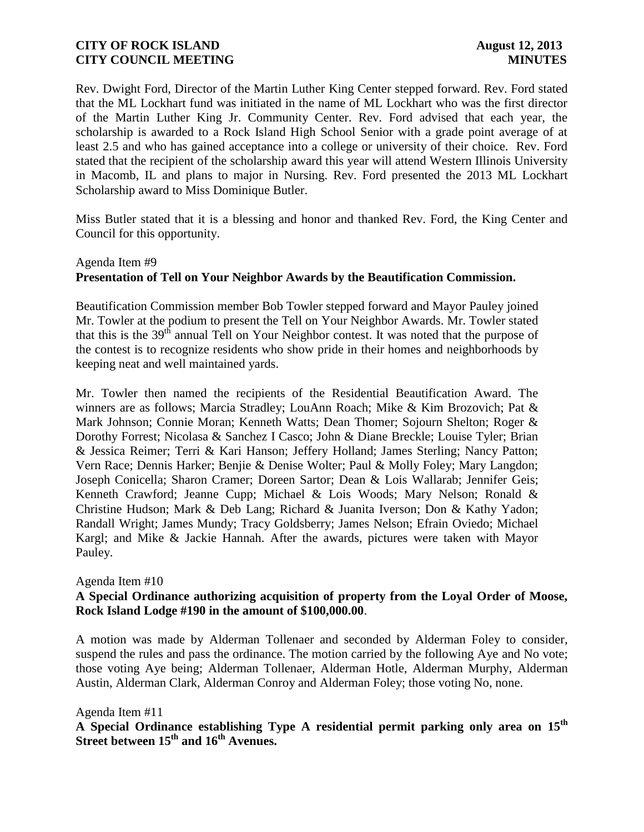Rev. Dwight Ford, Director of the Martin Luther King Center stepped forward. Rev. Ford stated that the ML Lockhart fund was initiated in the name of ML Lockhart who was the first director of the Martin Luther King Jr. Community Center. Rev. Ford advised that each year, the scholarship is awarded to a Rock Island High School Senior with a grade point average of at least 2.5 and who has gained acceptance into a college or university of their choice. Rev. Ford stated that the recipient of the scholarship award this year will attend Western Illinois University in Macomb, IL and plans to major in Nursing. Rev. Ford presented the 2013 ML Lockhart Scholarship award to Miss Dominique Butler.

Miss Butler stated that it is a blessing and honor and thanked Rev. Ford, the King Center and Council for this opportunity.

# Agenda Item #9 **Presentation of Tell on Your Neighbor Awards by the Beautification Commission.**

Beautification Commission member Bob Towler stepped forward and Mayor Pauley joined Mr. Towler at the podium to present the Tell on Your Neighbor Awards. Mr. Towler stated that this is the  $39<sup>th</sup>$  annual Tell on Your Neighbor contest. It was noted that the purpose of the contest is to recognize residents who show pride in their homes and neighborhoods by keeping neat and well maintained yards.

Mr. Towler then named the recipients of the Residential Beautification Award. The winners are as follows; Marcia Stradley; LouAnn Roach; Mike & Kim Brozovich; Pat & Mark Johnson; Connie Moran; Kenneth Watts; Dean Thomer; Sojourn Shelton; Roger & Dorothy Forrest; Nicolasa & Sanchez I Casco; John & Diane Breckle; Louise Tyler; Brian & Jessica Reimer; Terri & Kari Hanson; Jeffery Holland; James Sterling; Nancy Patton; Vern Race; Dennis Harker; Benjie & Denise Wolter; Paul & Molly Foley; Mary Langdon; Joseph Conicella; Sharon Cramer; Doreen Sartor; Dean & Lois Wallarab; Jennifer Geis; Kenneth Crawford; Jeanne Cupp; Michael & Lois Woods; Mary Nelson; Ronald & Christine Hudson; Mark & Deb Lang; Richard & Juanita Iverson; Don & Kathy Yadon; Randall Wright; James Mundy; Tracy Goldsberry; James Nelson; Efrain Oviedo; Michael Kargl; and Mike & Jackie Hannah. After the awards, pictures were taken with Mayor Pauley.

### Agenda Item #10

# **A Special Ordinance authorizing acquisition of property from the Loyal Order of Moose, Rock Island Lodge #190 in the amount of \$100,000.00**.

A motion was made by Alderman Tollenaer and seconded by Alderman Foley to consider, suspend the rules and pass the ordinance. The motion carried by the following Aye and No vote; those voting Aye being; Alderman Tollenaer, Alderman Hotle, Alderman Murphy, Alderman Austin, Alderman Clark, Alderman Conroy and Alderman Foley; those voting No, none.

### Agenda Item #11

**A Special Ordinance establishing Type A residential permit parking only area on 15th Street between 15th and 16th Avenues.**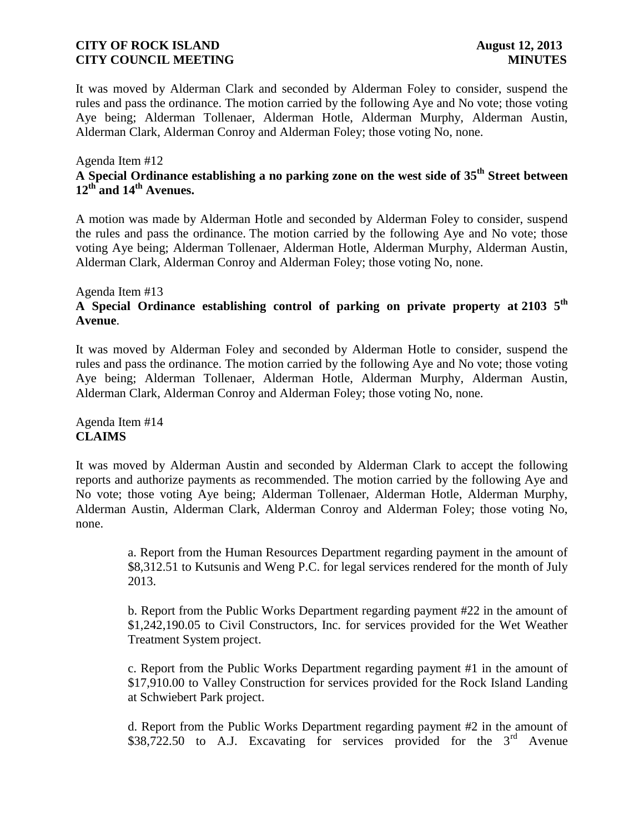It was moved by Alderman Clark and seconded by Alderman Foley to consider, suspend the rules and pass the ordinance. The motion carried by the following Aye and No vote; those voting Aye being; Alderman Tollenaer, Alderman Hotle, Alderman Murphy, Alderman Austin, Alderman Clark, Alderman Conroy and Alderman Foley; those voting No, none.

### Agenda Item #12 **A Special Ordinance establishing a no parking zone on the west side of 35th Street between 12th and 14th Avenues.**

A motion was made by Alderman Hotle and seconded by Alderman Foley to consider, suspend the rules and pass the ordinance. The motion carried by the following Aye and No vote; those voting Aye being; Alderman Tollenaer, Alderman Hotle, Alderman Murphy, Alderman Austin, Alderman Clark, Alderman Conroy and Alderman Foley; those voting No, none.

### Agenda Item #13

# **A Special Ordinance establishing control of parking on private property at 2103 5th Avenue**.

It was moved by Alderman Foley and seconded by Alderman Hotle to consider, suspend the rules and pass the ordinance. The motion carried by the following Aye and No vote; those voting Aye being; Alderman Tollenaer, Alderman Hotle, Alderman Murphy, Alderman Austin, Alderman Clark, Alderman Conroy and Alderman Foley; those voting No, none.

Agenda Item #14 **CLAIMS**

It was moved by Alderman Austin and seconded by Alderman Clark to accept the following reports and authorize payments as recommended. The motion carried by the following Aye and No vote; those voting Aye being; Alderman Tollenaer, Alderman Hotle, Alderman Murphy, Alderman Austin, Alderman Clark, Alderman Conroy and Alderman Foley; those voting No, none.

> a. Report from the Human Resources Department regarding payment in the amount of \$8,312.51 to Kutsunis and Weng P.C. for legal services rendered for the month of July 2013.

> b. Report from the Public Works Department regarding payment #22 in the amount of \$1,242,190.05 to Civil Constructors, Inc. for services provided for the Wet Weather Treatment System project.

> c. Report from the Public Works Department regarding payment #1 in the amount of \$17,910.00 to Valley Construction for services provided for the Rock Island Landing at Schwiebert Park project.

> d. Report from the Public Works Department regarding payment #2 in the amount of \$38,722.50 to A.J. Excavating for services provided for the  $3<sup>rd</sup>$  Avenue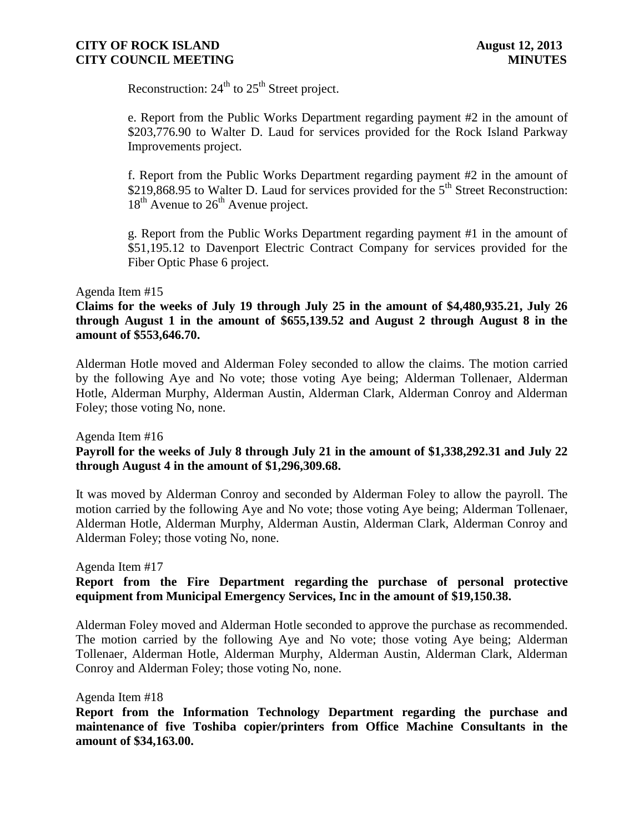Reconstruction:  $24<sup>th</sup>$  to  $25<sup>th</sup>$  Street project.

e. Report from the Public Works Department regarding payment #2 in the amount of \$203,776.90 to Walter D. Laud for services provided for the Rock Island Parkway Improvements project.

f. Report from the Public Works Department regarding payment #2 in the amount of \$219,868.95 to Walter D. Laud for services provided for the  $5<sup>th</sup>$  Street Reconstruction:  $18<sup>th</sup>$  Avenue to  $26<sup>th</sup>$  Avenue project.

g. Report from the Public Works Department regarding payment #1 in the amount of \$51,195.12 to Davenport Electric Contract Company for services provided for the Fiber Optic Phase 6 project.

### Agenda Item #15

# **Claims for the weeks of July 19 through July 25 in the amount of \$4,480,935.21, July 26 through August 1 in the amount of \$655,139.52 and August 2 through August 8 in the amount of \$553,646.70.**

 Alderman Hotle moved and Alderman Foley seconded to allow the claims. The motion carried by the following Aye and No vote; those voting Aye being; Alderman Tollenaer, Alderman Hotle, Alderman Murphy, Alderman Austin, Alderman Clark, Alderman Conroy and Alderman Foley; those voting No, none.

Agenda Item #16

# **Payroll for the weeks of July 8 through July 21 in the amount of \$1,338,292.31 and July 22 through August 4 in the amount of \$1,296,309.68.**

 It was moved by Alderman Conroy and seconded by Alderman Foley to allow the payroll. The motion carried by the following Aye and No vote; those voting Aye being; Alderman Tollenaer, Alderman Hotle, Alderman Murphy, Alderman Austin, Alderman Clark, Alderman Conroy and Alderman Foley; those voting No, none.

Agenda Item #17

# **Report from the Fire Department regarding the purchase of personal protective equipment from Municipal Emergency Services, Inc in the amount of \$19,150.38.**

Alderman Foley moved and Alderman Hotle seconded to approve the purchase as recommended. The motion carried by the following Aye and No vote; those voting Aye being; Alderman Tollenaer, Alderman Hotle, Alderman Murphy, Alderman Austin, Alderman Clark, Alderman Conroy and Alderman Foley; those voting No, none.

Agenda Item #18

**Report from the Information Technology Department regarding the purchase and maintenance of five Toshiba copier/printers from Office Machine Consultants in the amount of \$34,163.00.**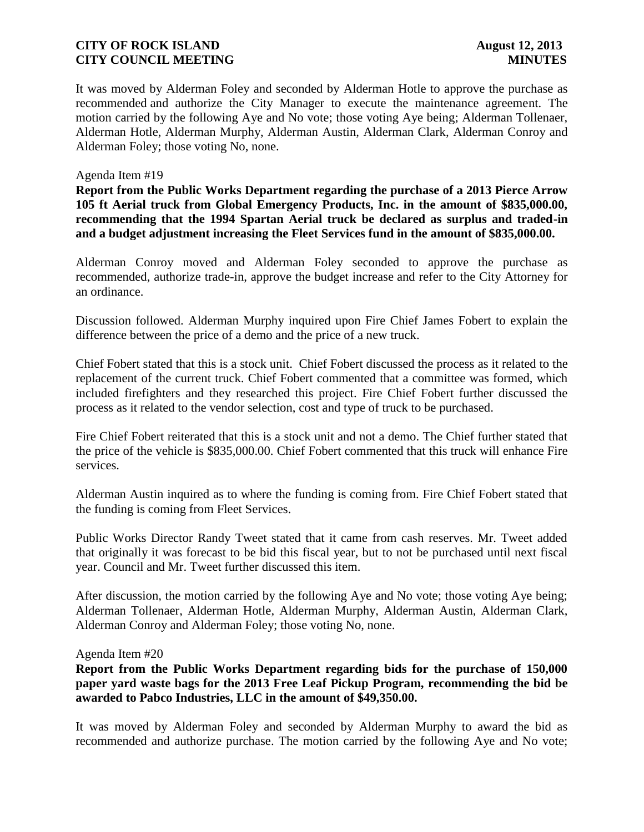It was moved by Alderman Foley and seconded by Alderman Hotle to approve the purchase as recommended and authorize the City Manager to execute the maintenance agreement. The motion carried by the following Aye and No vote; those voting Aye being; Alderman Tollenaer, Alderman Hotle, Alderman Murphy, Alderman Austin, Alderman Clark, Alderman Conroy and Alderman Foley; those voting No, none.

### Agenda Item #19

**Report from the Public Works Department regarding the purchase of a 2013 Pierce Arrow 105 ft Aerial truck from Global Emergency Products, Inc. in the amount of \$835,000.00, recommending that the 1994 Spartan Aerial truck be declared as surplus and traded-in and a budget adjustment increasing the Fleet Services fund in the amount of \$835,000.00.**

Alderman Conroy moved and Alderman Foley seconded to approve the purchase as recommended, authorize trade-in, approve the budget increase and refer to the City Attorney for an ordinance.

Discussion followed. Alderman Murphy inquired upon Fire Chief James Fobert to explain the difference between the price of a demo and the price of a new truck.

Chief Fobert stated that this is a stock unit. Chief Fobert discussed the process as it related to the replacement of the current truck. Chief Fobert commented that a committee was formed, which included firefighters and they researched this project. Fire Chief Fobert further discussed the process as it related to the vendor selection, cost and type of truck to be purchased.

Fire Chief Fobert reiterated that this is a stock unit and not a demo. The Chief further stated that the price of the vehicle is \$835,000.00. Chief Fobert commented that this truck will enhance Fire services.

Alderman Austin inquired as to where the funding is coming from. Fire Chief Fobert stated that the funding is coming from Fleet Services.

Public Works Director Randy Tweet stated that it came from cash reserves. Mr. Tweet added that originally it was forecast to be bid this fiscal year, but to not be purchased until next fiscal year. Council and Mr. Tweet further discussed this item.

After discussion, the motion carried by the following Aye and No vote; those voting Aye being; Alderman Tollenaer, Alderman Hotle, Alderman Murphy, Alderman Austin, Alderman Clark, Alderman Conroy and Alderman Foley; those voting No, none.

### Agenda Item #20

**Report from the Public Works Department regarding bids for the purchase of 150,000 paper yard waste bags for the 2013 Free Leaf Pickup Program, recommending the bid be awarded to Pabco Industries, LLC in the amount of \$49,350.00.**

It was moved by Alderman Foley and seconded by Alderman Murphy to award the bid as recommended and authorize purchase. The motion carried by the following Aye and No vote;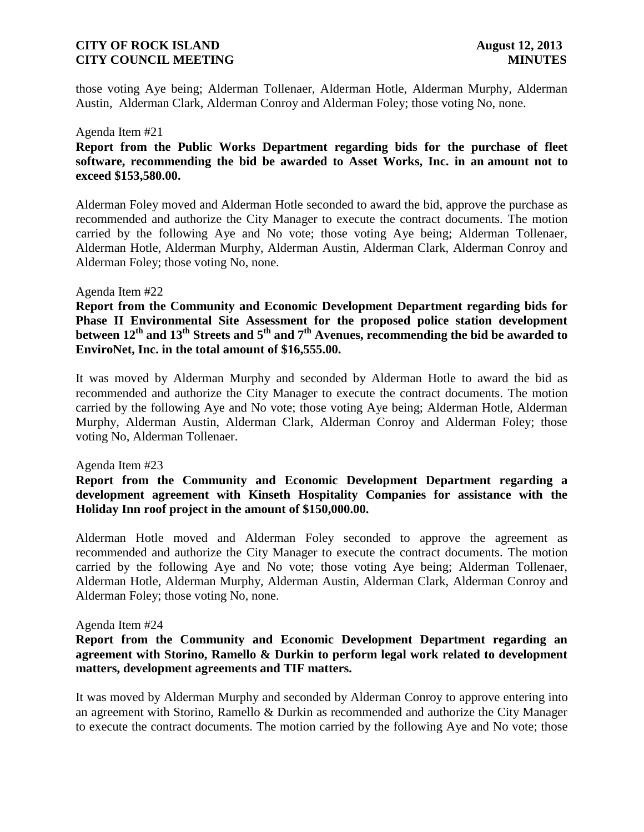those voting Aye being; Alderman Tollenaer, Alderman Hotle, Alderman Murphy, Alderman Austin, Alderman Clark, Alderman Conroy and Alderman Foley; those voting No, none.

### Agenda Item #21

# **Report from the Public Works Department regarding bids for the purchase of fleet software, recommending the bid be awarded to Asset Works, Inc. in an amount not to exceed \$153,580.00.**

Alderman Foley moved and Alderman Hotle seconded to award the bid, approve the purchase as recommended and authorize the City Manager to execute the contract documents. The motion carried by the following Aye and No vote; those voting Aye being; Alderman Tollenaer, Alderman Hotle, Alderman Murphy, Alderman Austin, Alderman Clark, Alderman Conroy and Alderman Foley; those voting No, none.

### Agenda Item #22

**Report from the Community and Economic Development Department regarding bids for Phase II Environmental Site Assessment for the proposed police station development between 12th and 13th Streets and 5th and 7th Avenues, recommending the bid be awarded to EnviroNet, Inc. in the total amount of \$16,555.00.** 

It was moved by Alderman Murphy and seconded by Alderman Hotle to award the bid as recommended and authorize the City Manager to execute the contract documents. The motion carried by the following Aye and No vote; those voting Aye being; Alderman Hotle, Alderman Murphy, Alderman Austin, Alderman Clark, Alderman Conroy and Alderman Foley; those voting No, Alderman Tollenaer.

### Agenda Item #23

### **Report from the Community and Economic Development Department regarding a development agreement with Kinseth Hospitality Companies for assistance with the Holiday Inn roof project in the amount of \$150,000.00.**

Alderman Hotle moved and Alderman Foley seconded to approve the agreement as recommended and authorize the City Manager to execute the contract documents. The motion carried by the following Aye and No vote; those voting Aye being; Alderman Tollenaer, Alderman Hotle, Alderman Murphy, Alderman Austin, Alderman Clark, Alderman Conroy and Alderman Foley; those voting No, none.

### Agenda Item #24

# **Report from the Community and Economic Development Department regarding an agreement with Storino, Ramello & Durkin to perform legal work related to development matters, development agreements and TIF matters.**

It was moved by Alderman Murphy and seconded by Alderman Conroy to approve entering into an agreement with Storino, Ramello & Durkin as recommended and authorize the City Manager to execute the contract documents. The motion carried by the following Aye and No vote; those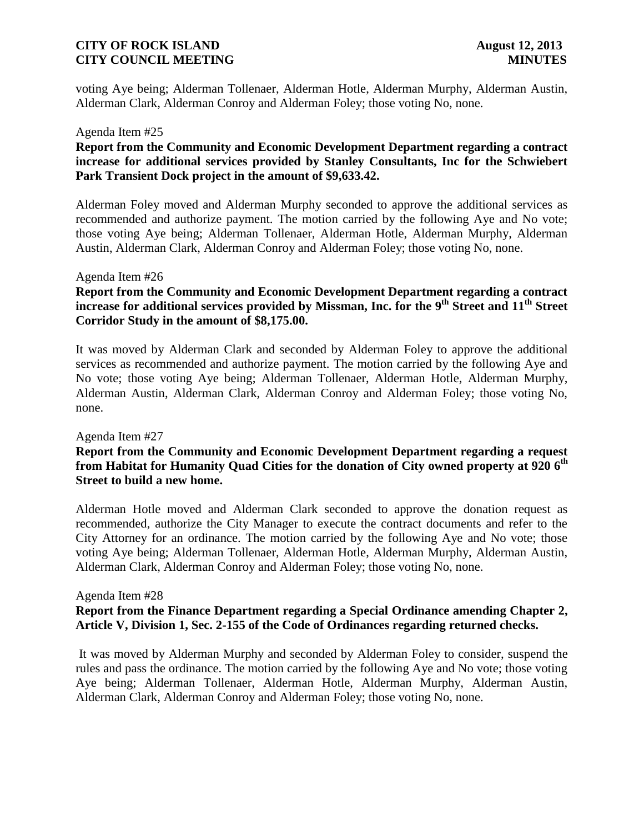voting Aye being; Alderman Tollenaer, Alderman Hotle, Alderman Murphy, Alderman Austin, Alderman Clark, Alderman Conroy and Alderman Foley; those voting No, none.

### Agenda Item #25

# **Report from the Community and Economic Development Department regarding a contract increase for additional services provided by Stanley Consultants, Inc for the Schwiebert Park Transient Dock project in the amount of \$9,633.42.**

Alderman Foley moved and Alderman Murphy seconded to approve the additional services as recommended and authorize payment. The motion carried by the following Aye and No vote; those voting Aye being; Alderman Tollenaer, Alderman Hotle, Alderman Murphy, Alderman Austin, Alderman Clark, Alderman Conroy and Alderman Foley; those voting No, none.

### Agenda Item #26

# **Report from the Community and Economic Development Department regarding a contract**  increase for additional services provided by Missman, Inc. for the 9<sup>th</sup> Street and 11<sup>th</sup> Street **Corridor Study in the amount of \$8,175.00.**

It was moved by Alderman Clark and seconded by Alderman Foley to approve the additional services as recommended and authorize payment. The motion carried by the following Aye and No vote; those voting Aye being; Alderman Tollenaer, Alderman Hotle, Alderman Murphy, Alderman Austin, Alderman Clark, Alderman Conroy and Alderman Foley; those voting No, none.

### Agenda Item #27

# **Report from the Community and Economic Development Department regarding a request from Habitat for Humanity Quad Cities for the donation of City owned property at 920 6 th Street to build a new home.**

Alderman Hotle moved and Alderman Clark seconded to approve the donation request as recommended, authorize the City Manager to execute the contract documents and refer to the City Attorney for an ordinance. The motion carried by the following Aye and No vote; those voting Aye being; Alderman Tollenaer, Alderman Hotle, Alderman Murphy, Alderman Austin, Alderman Clark, Alderman Conroy and Alderman Foley; those voting No, none.

### Agenda Item #28 **Report from the Finance Department regarding a Special Ordinance amending Chapter 2, Article V, Division 1, Sec. 2-155 of the Code of Ordinances regarding returned checks.**

It was moved by Alderman Murphy and seconded by Alderman Foley to consider, suspend the rules and pass the ordinance. The motion carried by the following Aye and No vote; those voting Aye being; Alderman Tollenaer, Alderman Hotle, Alderman Murphy, Alderman Austin, Alderman Clark, Alderman Conroy and Alderman Foley; those voting No, none.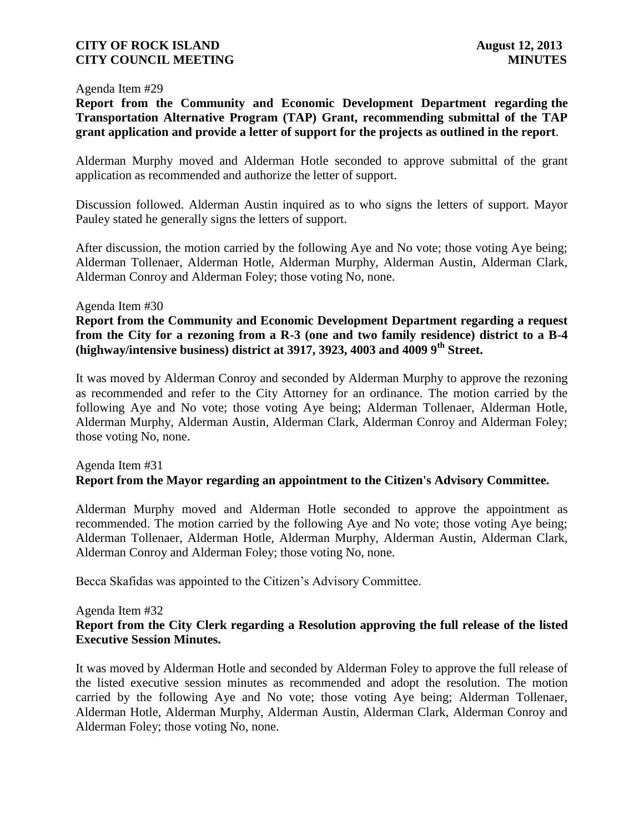### Agenda Item #29

**Report from the Community and Economic Development Department regarding the Transportation Alternative Program (TAP) Grant, recommending submittal of the TAP grant application and provide a letter of support for the projects as outlined in the report**.

Alderman Murphy moved and Alderman Hotle seconded to approve submittal of the grant application as recommended and authorize the letter of support.

Discussion followed. Alderman Austin inquired as to who signs the letters of support. Mayor Pauley stated he generally signs the letters of support.

After discussion, the motion carried by the following Aye and No vote; those voting Aye being; Alderman Tollenaer, Alderman Hotle, Alderman Murphy, Alderman Austin, Alderman Clark, Alderman Conroy and Alderman Foley; those voting No, none.

### Agenda Item #30

**Report from the Community and Economic Development Department regarding a request from the City for a rezoning from a R-3 (one and two family residence) district to a B-4 (highway/intensive business) district at 3917, 3923, 4003 and 4009 9th Street.**

It was moved by Alderman Conroy and seconded by Alderman Murphy to approve the rezoning as recommended and refer to the City Attorney for an ordinance. The motion carried by the following Aye and No vote; those voting Aye being; Alderman Tollenaer, Alderman Hotle, Alderman Murphy, Alderman Austin, Alderman Clark, Alderman Conroy and Alderman Foley; those voting No, none.

# Agenda Item #31 **Report from the Mayor regarding an appointment to the Citizen's Advisory Committee.**

Alderman Murphy moved and Alderman Hotle seconded to approve the appointment as recommended. The motion carried by the following Aye and No vote; those voting Aye being; Alderman Tollenaer, Alderman Hotle, Alderman Murphy, Alderman Austin, Alderman Clark, Alderman Conroy and Alderman Foley; those voting No, none.

Becca Skafidas was appointed to the Citizen's Advisory Committee.

### Agenda Item #32

### **Report from the City Clerk regarding a Resolution approving the full release of the listed Executive Session Minutes.**

It was moved by Alderman Hotle and seconded by Alderman Foley to approve the full release of the listed executive session minutes as recommended and adopt the resolution. The motion carried by the following Aye and No vote; those voting Aye being; Alderman Tollenaer, Alderman Hotle, Alderman Murphy, Alderman Austin, Alderman Clark, Alderman Conroy and Alderman Foley; those voting No, none.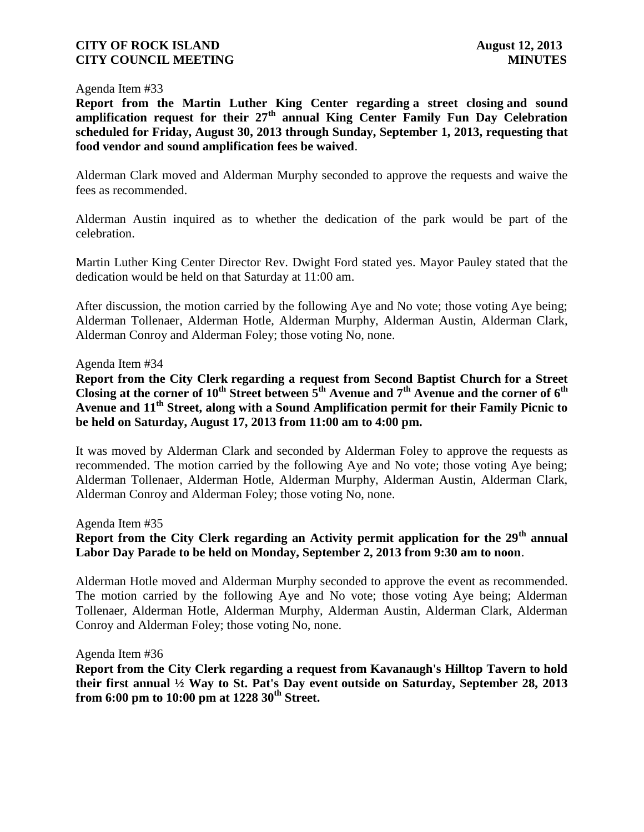### Agenda Item #33

**Report from the Martin Luther King Center regarding a street closing and sound amplification request for their 27th annual King Center Family Fun Day Celebration scheduled for Friday, August 30, 2013 through Sunday, September 1, 2013, requesting that food vendor and sound amplification fees be waived**.

Alderman Clark moved and Alderman Murphy seconded to approve the requests and waive the fees as recommended.

Alderman Austin inquired as to whether the dedication of the park would be part of the celebration.

Martin Luther King Center Director Rev. Dwight Ford stated yes. Mayor Pauley stated that the dedication would be held on that Saturday at 11:00 am.

After discussion, the motion carried by the following Aye and No vote; those voting Aye being; Alderman Tollenaer, Alderman Hotle, Alderman Murphy, Alderman Austin, Alderman Clark, Alderman Conroy and Alderman Foley; those voting No, none.

### Agenda Item #34

**Report from the City Clerk regarding a request from Second Baptist Church for a Street Closing at the corner of 10th Street between 5th Avenue and 7th Avenue and the corner of 6th Avenue and 11th Street, along with a Sound Amplification permit for their Family Picnic to be held on Saturday, August 17, 2013 from 11:00 am to 4:00 pm.**

It was moved by Alderman Clark and seconded by Alderman Foley to approve the requests as recommended. The motion carried by the following Aye and No vote; those voting Aye being; Alderman Tollenaer, Alderman Hotle, Alderman Murphy, Alderman Austin, Alderman Clark, Alderman Conroy and Alderman Foley; those voting No, none.

Agenda Item #35

# **Report from the City Clerk regarding an Activity permit application for the 29th annual Labor Day Parade to be held on Monday, September 2, 2013 from 9:30 am to noon**.

Alderman Hotle moved and Alderman Murphy seconded to approve the event as recommended. The motion carried by the following Aye and No vote; those voting Aye being; Alderman Tollenaer, Alderman Hotle, Alderman Murphy, Alderman Austin, Alderman Clark, Alderman Conroy and Alderman Foley; those voting No, none.

### Agenda Item #36

**Report from the City Clerk regarding a request from Kavanaugh's Hilltop Tavern to hold their first annual ½ Way to St. Pat's Day event outside on Saturday, September 28, 2013 from 6:00 pm to 10:00 pm at 1228 30th Street.**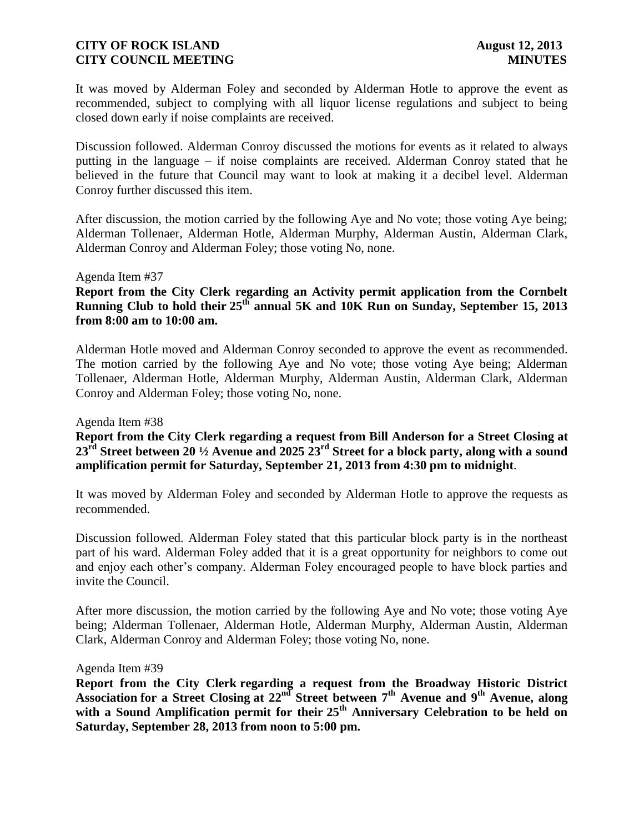It was moved by Alderman Foley and seconded by Alderman Hotle to approve the event as recommended, subject to complying with all liquor license regulations and subject to being closed down early if noise complaints are received.

Discussion followed. Alderman Conroy discussed the motions for events as it related to always putting in the language – if noise complaints are received. Alderman Conroy stated that he believed in the future that Council may want to look at making it a decibel level. Alderman Conroy further discussed this item.

After discussion, the motion carried by the following Aye and No vote; those voting Aye being; Alderman Tollenaer, Alderman Hotle, Alderman Murphy, Alderman Austin, Alderman Clark, Alderman Conroy and Alderman Foley; those voting No, none.

### Agenda Item #37

# **Report from the City Clerk regarding an Activity permit application from the Cornbelt Running Club to hold their 25th annual 5K and 10K Run on Sunday, September 15, 2013 from 8:00 am to 10:00 am.**

Alderman Hotle moved and Alderman Conroy seconded to approve the event as recommended. The motion carried by the following Aye and No vote; those voting Aye being; Alderman Tollenaer, Alderman Hotle, Alderman Murphy, Alderman Austin, Alderman Clark, Alderman Conroy and Alderman Foley; those voting No, none.

### Agenda Item #38

# **Report from the City Clerk regarding a request from Bill Anderson for a Street Closing at 23rd Street between 20 ½ Avenue and 2025 23rd Street for a block party, along with a sound amplification permit for Saturday, September 21, 2013 from 4:30 pm to midnight**.

It was moved by Alderman Foley and seconded by Alderman Hotle to approve the requests as recommended.

Discussion followed. Alderman Foley stated that this particular block party is in the northeast part of his ward. Alderman Foley added that it is a great opportunity for neighbors to come out and enjoy each other's company. Alderman Foley encouraged people to have block parties and invite the Council.

After more discussion, the motion carried by the following Aye and No vote; those voting Aye being; Alderman Tollenaer, Alderman Hotle, Alderman Murphy, Alderman Austin, Alderman Clark, Alderman Conroy and Alderman Foley; those voting No, none.

### Agenda Item #39

**Report from the City Clerk regarding a request from the Broadway Historic District Association for a Street Closing at 22nd Street between 7th Avenue and 9th Avenue, along with a Sound Amplification permit for their 25th Anniversary Celebration to be held on Saturday, September 28, 2013 from noon to 5:00 pm.**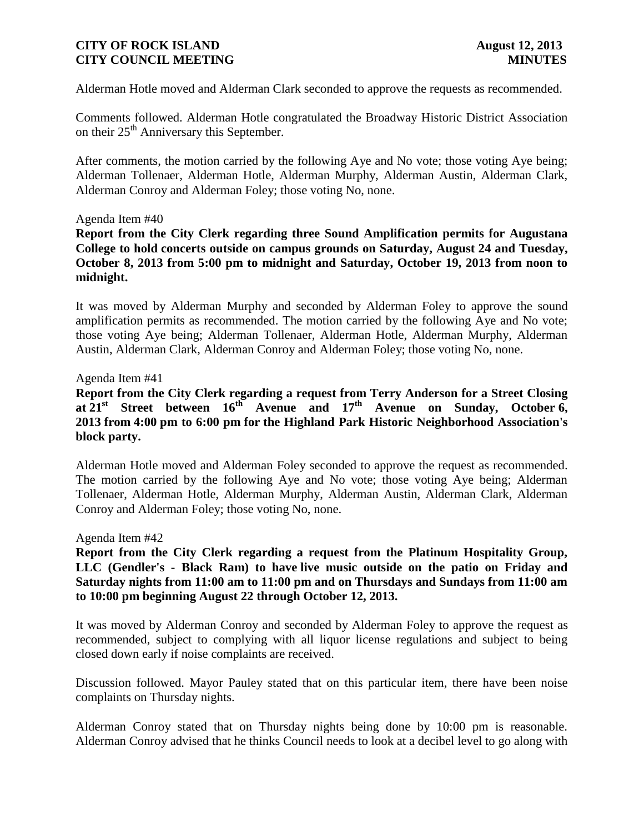Alderman Hotle moved and Alderman Clark seconded to approve the requests as recommended.

Comments followed. Alderman Hotle congratulated the Broadway Historic District Association on their  $25<sup>th</sup>$  Anniversary this September.

After comments, the motion carried by the following Aye and No vote; those voting Aye being; Alderman Tollenaer, Alderman Hotle, Alderman Murphy, Alderman Austin, Alderman Clark, Alderman Conroy and Alderman Foley; those voting No, none.

### Agenda Item #40

**Report from the City Clerk regarding three Sound Amplification permits for Augustana College to hold concerts outside on campus grounds on Saturday, August 24 and Tuesday, October 8, 2013 from 5:00 pm to midnight and Saturday, October 19, 2013 from noon to midnight.**

It was moved by Alderman Murphy and seconded by Alderman Foley to approve the sound amplification permits as recommended. The motion carried by the following Aye and No vote; those voting Aye being; Alderman Tollenaer, Alderman Hotle, Alderman Murphy, Alderman Austin, Alderman Clark, Alderman Conroy and Alderman Foley; those voting No, none.

### Agenda Item #41

**Report from the City Clerk regarding a request from Terry Anderson for a Street Closing at 21st Street between 16th Avenue and 17th Avenue on Sunday, October 6, 2013 from 4:00 pm to 6:00 pm for the Highland Park Historic Neighborhood Association's block party.**

Alderman Hotle moved and Alderman Foley seconded to approve the request as recommended. The motion carried by the following Aye and No vote; those voting Aye being; Alderman Tollenaer, Alderman Hotle, Alderman Murphy, Alderman Austin, Alderman Clark, Alderman Conroy and Alderman Foley; those voting No, none.

### Agenda Item #42

# **Report from the City Clerk regarding a request from the Platinum Hospitality Group, LLC (Gendler's - Black Ram) to have live music outside on the patio on Friday and Saturday nights from 11:00 am to 11:00 pm and on Thursdays and Sundays from 11:00 am to 10:00 pm beginning August 22 through October 12, 2013.**

It was moved by Alderman Conroy and seconded by Alderman Foley to approve the request as recommended, subject to complying with all liquor license regulations and subject to being closed down early if noise complaints are received.

Discussion followed. Mayor Pauley stated that on this particular item, there have been noise complaints on Thursday nights.

Alderman Conroy stated that on Thursday nights being done by 10:00 pm is reasonable. Alderman Conroy advised that he thinks Council needs to look at a decibel level to go along with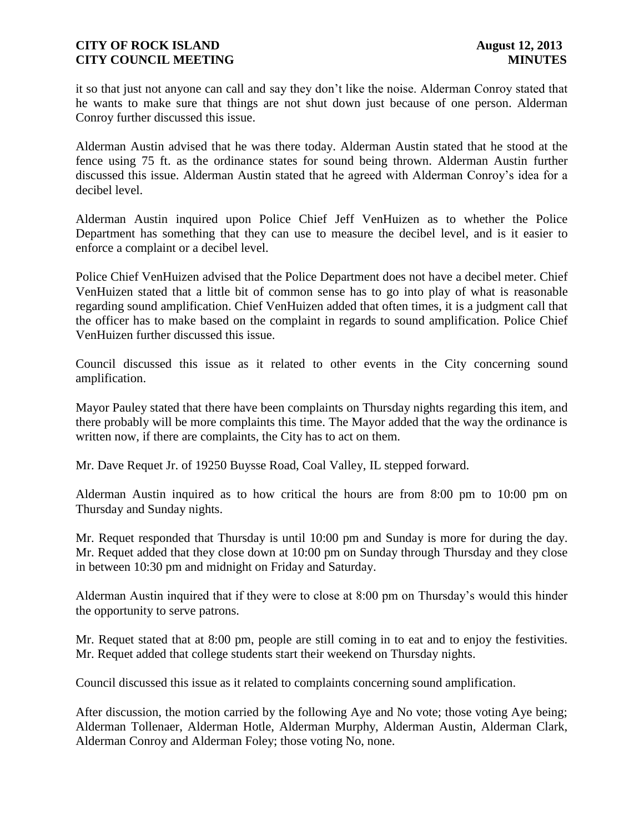it so that just not anyone can call and say they don't like the noise. Alderman Conroy stated that he wants to make sure that things are not shut down just because of one person. Alderman Conroy further discussed this issue.

Alderman Austin advised that he was there today. Alderman Austin stated that he stood at the fence using 75 ft. as the ordinance states for sound being thrown. Alderman Austin further discussed this issue. Alderman Austin stated that he agreed with Alderman Conroy's idea for a decibel level.

Alderman Austin inquired upon Police Chief Jeff VenHuizen as to whether the Police Department has something that they can use to measure the decibel level, and is it easier to enforce a complaint or a decibel level.

Police Chief VenHuizen advised that the Police Department does not have a decibel meter. Chief VenHuizen stated that a little bit of common sense has to go into play of what is reasonable regarding sound amplification. Chief VenHuizen added that often times, it is a judgment call that the officer has to make based on the complaint in regards to sound amplification. Police Chief VenHuizen further discussed this issue.

Council discussed this issue as it related to other events in the City concerning sound amplification.

Mayor Pauley stated that there have been complaints on Thursday nights regarding this item, and there probably will be more complaints this time. The Mayor added that the way the ordinance is written now, if there are complaints, the City has to act on them.

Mr. Dave Requet Jr. of 19250 Buysse Road, Coal Valley, IL stepped forward.

Alderman Austin inquired as to how critical the hours are from 8:00 pm to 10:00 pm on Thursday and Sunday nights.

Mr. Requet responded that Thursday is until 10:00 pm and Sunday is more for during the day. Mr. Requet added that they close down at 10:00 pm on Sunday through Thursday and they close in between 10:30 pm and midnight on Friday and Saturday.

Alderman Austin inquired that if they were to close at 8:00 pm on Thursday's would this hinder the opportunity to serve patrons.

Mr. Requet stated that at 8:00 pm, people are still coming in to eat and to enjoy the festivities. Mr. Requet added that college students start their weekend on Thursday nights.

Council discussed this issue as it related to complaints concerning sound amplification.

After discussion, the motion carried by the following Aye and No vote; those voting Aye being; Alderman Tollenaer, Alderman Hotle, Alderman Murphy, Alderman Austin, Alderman Clark, Alderman Conroy and Alderman Foley; those voting No, none.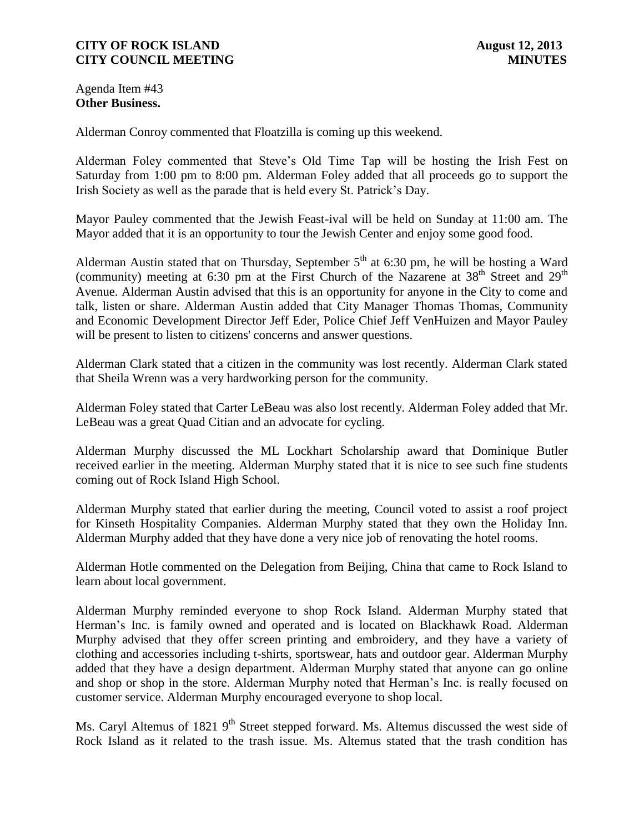Agenda Item #43 **Other Business.**

Alderman Conroy commented that Floatzilla is coming up this weekend.

Alderman Foley commented that Steve's Old Time Tap will be hosting the Irish Fest on Saturday from 1:00 pm to 8:00 pm. Alderman Foley added that all proceeds go to support the Irish Society as well as the parade that is held every St. Patrick's Day.

Mayor Pauley commented that the Jewish Feast-ival will be held on Sunday at 11:00 am. The Mayor added that it is an opportunity to tour the Jewish Center and enjoy some good food.

Alderman Austin stated that on Thursday, September  $5<sup>th</sup>$  at 6:30 pm, he will be hosting a Ward (community) meeting at 6:30 pm at the First Church of the Nazarene at  $38<sup>th</sup>$  Street and  $29<sup>th</sup>$ Avenue. Alderman Austin advised that this is an opportunity for anyone in the City to come and talk, listen or share. Alderman Austin added that City Manager Thomas Thomas, Community and Economic Development Director Jeff Eder, Police Chief Jeff VenHuizen and Mayor Pauley will be present to listen to citizens' concerns and answer questions.

Alderman Clark stated that a citizen in the community was lost recently. Alderman Clark stated that Sheila Wrenn was a very hardworking person for the community.

Alderman Foley stated that Carter LeBeau was also lost recently. Alderman Foley added that Mr. LeBeau was a great Quad Citian and an advocate for cycling.

Alderman Murphy discussed the ML Lockhart Scholarship award that Dominique Butler received earlier in the meeting. Alderman Murphy stated that it is nice to see such fine students coming out of Rock Island High School.

Alderman Murphy stated that earlier during the meeting, Council voted to assist a roof project for Kinseth Hospitality Companies. Alderman Murphy stated that they own the Holiday Inn. Alderman Murphy added that they have done a very nice job of renovating the hotel rooms.

Alderman Hotle commented on the Delegation from Beijing, China that came to Rock Island to learn about local government.

Alderman Murphy reminded everyone to shop Rock Island. Alderman Murphy stated that Herman's Inc. is family owned and operated and is located on Blackhawk Road. Alderman Murphy advised that they offer screen printing and embroidery, and they have a variety of clothing and accessories including t-shirts, sportswear, hats and outdoor gear. Alderman Murphy added that they have a design department. Alderman Murphy stated that anyone can go online and shop or shop in the store. Alderman Murphy noted that Herman's Inc. is really focused on customer service. Alderman Murphy encouraged everyone to shop local.

Ms. Caryl Altemus of 1821 9<sup>th</sup> Street stepped forward. Ms. Altemus discussed the west side of Rock Island as it related to the trash issue. Ms. Altemus stated that the trash condition has